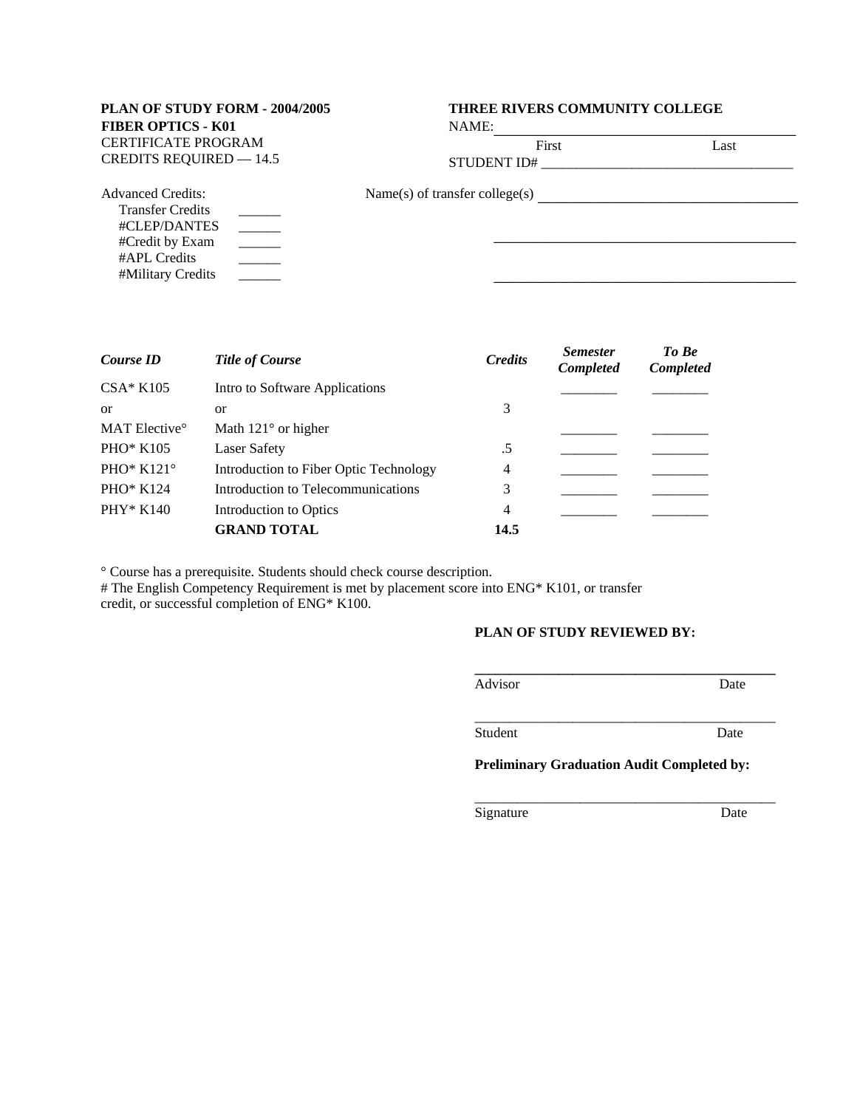# **FIBER OPTICS - K01** CERTIFICATE PROGRAM CREDITS REQUIRED — 14.5 STUDENT ID#

## **PLAN OF STUDY FORM - 2004/2005 THREE RIVERS COMMUNITY COLLEGE**

NAME:

|  |  | Fi |
|--|--|----|
|  |  |    |

Name(s) of transfer college(s) \_\_\_\_\_\_\_\_\_\_\_\_\_\_\_\_\_\_\_\_\_\_\_\_\_\_\_\_\_\_\_  $\mathcal{L}_\text{max}$  and  $\mathcal{L}_\text{max}$  are the set of the set of the set of the set of the set of the set of the set of the set of the set of the set of the set of the set of the set of the set of the set of the set of the set o Advanced Credits: Transfer Credits #CLEP/DANTES #Credit by Exam #APL Credits #Military Credits  $\overline{\phantom{a}}$  $\overline{\phantom{a}}$  $\overline{\phantom{a}}$  $\overline{\phantom{a}}$ \_\_\_\_\_\_ \_\_\_\_\_\_\_\_\_\_\_\_\_\_\_\_\_\_\_\_\_\_\_\_\_\_\_\_\_\_\_\_\_\_\_\_

| Course ID                 | <b>Title of Course</b>                 | <b>Credits</b> | <b>Semester</b><br>Completed | To Be<br>Completed |
|---------------------------|----------------------------------------|----------------|------------------------------|--------------------|
| $CSA*K105$                | Intro to Software Applications         |                |                              |                    |
| $\alpha$                  | <b>or</b>                              | 3              |                              |                    |
| MAT Elective <sup>o</sup> | Math $121^{\circ}$ or higher           |                |                              |                    |
| PHO* $K105$               | Laser Safety                           | .5             |                              |                    |
| PHO* $K121^\circ$         | Introduction to Fiber Optic Technology | 4              |                              |                    |
| <b>PHO* K124</b>          | Introduction to Telecommunications     | 3              |                              |                    |
| $PHY*K140$                | Introduction to Optics                 | $\overline{4}$ |                              |                    |
|                           | <b>GRAND TOTAL</b>                     | 14.5           |                              |                    |

° Course has a prerequisite. Students should check course description.

# The English Competency Requirement is met by placement score into ENG\* K101, or transfer credit, or successful completion of ENG\* K100.

### **PLAN OF STUDY REVIEWED BY:**

| Advisor | Ante |
|---------|------|

\_\_\_\_\_\_\_\_\_\_\_\_\_\_\_\_\_\_\_\_\_\_\_\_\_\_\_\_\_\_\_\_\_\_\_\_\_\_\_\_\_\_\_

\_\_\_\_\_\_\_\_\_\_\_\_\_\_\_\_\_\_\_\_\_\_\_\_\_\_\_\_\_\_\_\_\_\_\_\_\_\_\_\_\_\_\_

Student Date

**Preliminary Graduation Audit Completed by:**

Signature Date